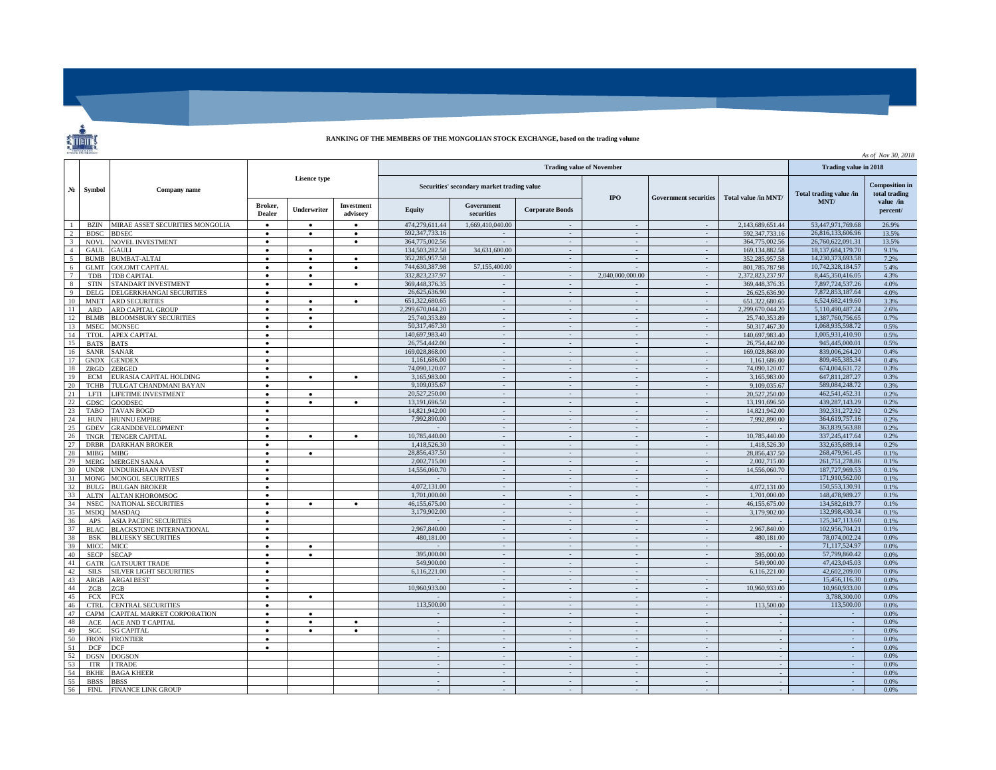## **RANKING OF THE MEMBERS OF THE MONGOLIAN STOCK EXCHANGE, based on the trading volume**

 $\ddot{\hat{\mathbf{z}}}$ 

| STOCK EXCITANGE<br>As of Nov 30, 2018 |                            |                                   |                        |           |                                                                                |                                |                          |                                    |                              |                             |                                |                                        |              |  |  |
|---------------------------------------|----------------------------|-----------------------------------|------------------------|-----------|--------------------------------------------------------------------------------|--------------------------------|--------------------------|------------------------------------|------------------------------|-----------------------------|--------------------------------|----------------------------------------|--------------|--|--|
|                                       | Symbol                     | <b>Company name</b>               |                        |           |                                                                                |                                | Trading value in 2018    |                                    |                              |                             |                                |                                        |              |  |  |
| N <sub>2</sub>                        |                            |                                   | <b>Lisence type</b>    |           | <b>Trading value of November</b><br>Securities' secondary market trading value |                                |                          | <b>IPO</b>                         | <b>Government securities</b> | Total value /in MNT/        | Total trading value /in        | <b>Composition</b> in<br>total trading |              |  |  |
|                                       |                            |                                   |                        |           |                                                                                |                                | Broker,<br><b>Dealer</b> | Underwriter                        | Investment<br>advisory       | Equity                      | Government<br>securities       | <b>Corporate Bonds</b>                 |              |  |  |
|                                       | <b>BZIN</b>                | MIRAE ASSET SECURITIES MONGOLIA   | $\bullet$              | $\bullet$ | $\bullet$                                                                      | 474,279,611.44                 | 1,669,410,040.00         |                                    |                              |                             | 2,143,689,651.44               | 53,447,971,769.68                      | 26.9%        |  |  |
| 2                                     | <b>BDSC</b>                | <b>BDSEC</b>                      | $\bullet$              | $\bullet$ | $\bullet$                                                                      | 592.347.733.16                 |                          | $\sim$                             | $\sim$                       | $\sim$                      | 592.347.733.16                 | 26.816.133.606.96                      | 13.5%        |  |  |
| $\overline{3}$                        | <b>NOVL</b>                | <b>NOVEL INVESTMENT</b>           | $\bullet$              |           | $\bullet$                                                                      | 364,775,002.56                 |                          | $\sim$                             | $\sim$                       | $\sim$                      | 364,775,002.56                 | 26,760,622,091.31                      | 13.5%        |  |  |
| $\overline{4}$                        | <b>GAUL</b>                | <b>GAULI</b>                      | $\bullet$              | $\bullet$ |                                                                                | 134,503,282.58                 | 34,631,600.00            | $\sim$                             | $\sim$                       | $\sim$                      | 169.134.882.58                 | 18,137,684,179.70                      | 9.1%         |  |  |
| $\sim$                                | <b>BUMB</b>                | <b>BUMBAT-ALTAI</b>               | $\bullet$              | $\bullet$ | $\bullet$                                                                      | 352,285,957.58                 |                          | $\sim$                             | $\sim$                       | $\sim$                      | 352.285.957.58                 | 14.230.373.693.58                      | 7.2%         |  |  |
| 6                                     | <b>GLMT</b>                | <b>GOLOMT CAPITAL</b>             | $\bullet$              | $\bullet$ | $\bullet$                                                                      | 744,630,387.98                 | 57,155,400.00            | $\sim$                             |                              | $\sim$                      | 801.785.787.98                 | 10,742,328,184.57                      | 5.4%         |  |  |
| $\overline{7}$                        | <b>TDB</b>                 | <b>TDB CAPITAL</b>                | $\bullet$              | $\bullet$ |                                                                                | 332,823,237.97                 |                          | $\sim$                             | 2,040,000,000.00             | $\sim$                      | 2,372,823,237.97               | 8,445,350,416.05                       | 4.3%         |  |  |
| 8                                     | <b>STIN</b>                | <b>STANDART INVESTMENT</b>        | $\bullet$              | $\bullet$ | $\bullet$                                                                      | 369.448.376.35                 | $\sim$                   | $\sim$                             | $\sim$                       | $\sim$                      | 369,448,376.35                 | 7,897,724,537.26                       | 4.0%         |  |  |
| $\mathbf{Q}$                          | <b>DELG</b>                | DELGERKHANGAI SECURITIES          | $\bullet$              |           |                                                                                | 26,625,636.90                  | $\sim$                   | $\sim$                             | $\sim$                       | $\sim$                      | 26,625,636.90                  | 7.872.853.187.64                       | 4.0%         |  |  |
| 10                                    | <b>MNET</b>                | <b>RD SECURITIES</b>              | $\bullet$              | $\bullet$ |                                                                                | 651,322,680.65                 |                          | $\sim$                             | $\mathcal{L}$                | $\mathbb{Z}^2$              | 651,322,680.65                 | 6,524,682,419.60                       | 3.3%         |  |  |
| 11                                    | <b>ARD</b>                 | ARD CAPITAL GROUP                 | $\bullet$              | ٠         |                                                                                | 2,299,670,044.20               | $\overline{a}$           | $\sim$                             | $\sim$                       | $\sim$                      | 2,299,670,044.20               | 5,110,490,487.24                       | 2.6%         |  |  |
| 12                                    | <b>BLMB</b>                | <b>BLOOMSBURY SECURITIES</b>      | $\bullet$              | $\bullet$ |                                                                                | 25,740,353.89                  | $\overline{\phantom{a}}$ | $\sim$                             | $\sim$                       | $\sim$                      | 25.740.353.89                  | 1.387.760.756.65                       | 0.7%         |  |  |
| 13                                    | <b>MSEC</b>                | <b>MONSEC</b>                     | $\bullet$              | $\bullet$ |                                                                                | 50,317,467.30                  |                          | $\overline{\phantom{a}}$           | $\sim$                       | $\mathcal{L}_{\mathcal{A}}$ | 50,317,467.30                  | 1,068,935,598.72                       | 0.5%         |  |  |
| 14                                    | <b>TTOL</b>                | <b>APEX CAPITAL</b>               | $\bullet$              |           |                                                                                | 140,697,983.40                 | $\sim$                   | $\sim$                             | $\sim$                       | $\sim$                      | 140,697,983.40                 | 1,005,931,410.90                       | 0.5%<br>0.5% |  |  |
| 15                                    | <b>BATS</b>                | <b>BATS</b>                       | $\bullet$              |           |                                                                                | 26,754,442.00                  | $\sim$                   | $\sim$                             | $\sim$                       | $\sim$                      | 26,754,442.00                  | 945,445,000.01                         |              |  |  |
| 16                                    | <b>SANR</b>                | <b>SANAR</b>                      | $\bullet$              |           |                                                                                | 169,028,868.00<br>1,161,686.00 |                          |                                    |                              |                             | 169,028,868.00                 | 839,006,264.20<br>809.465.385.34       | 0.4%         |  |  |
| 17                                    | <b>GNDX</b>                | <b>GENDEX</b>                     | $\bullet$              |           |                                                                                | 74,090,120.07                  | $\overline{\phantom{a}}$ | $\overline{\phantom{a}}$           | $\sim$                       | $\overline{\phantom{a}}$    | 1,161,686.00                   | 674,004,631.72                         | 0.4%         |  |  |
| 18<br>19                              | ZRGD                       | ZERGED                            | $\bullet$              |           |                                                                                | 3,165,983.00                   | $\sim$<br>$\sim$         | $\sim$<br>$\sim$                   | $\sim$<br>$\sim$             | $\sim$<br>$\sim$            | 74,090,120,07                  | 647,811,287.27                         | 0.3%<br>0.3% |  |  |
|                                       | <b>ECM</b>                 | EURASIA CAPITAL HOLDING           | $\bullet$              | $\bullet$ | $\bullet$                                                                      | 9.109.035.67                   |                          |                                    |                              |                             | 3.165.983.00                   | 589,084,248.72                         |              |  |  |
| 20                                    | <b>TCHB</b>                | <b>TULGAT CHANDMANI BAYAN</b>     | $\bullet$              | $\bullet$ |                                                                                | 20.527.250.00                  | $\sim$<br>$\sim$         | $\overline{\phantom{a}}$<br>$\sim$ | $\sim$<br>$\sim$             | $\sim$<br>$\sim$            | 9,109,035.67                   | 462.541.452.31                         | 0.3%         |  |  |
| 21<br>22                              | <b>LFTI</b><br><b>GDSC</b> | <b>LIFETIME INVESTMENT</b>        | $\bullet$              |           |                                                                                | 13,191,696.50                  |                          |                                    | $\sim$                       |                             | 20,527,250,00                  | 439,287,143.29                         | 0.2%         |  |  |
| 23                                    |                            | <b>GOODSEC</b>                    | $\bullet$              |           |                                                                                | 14,821,942.00                  | $\sim$                   | $\sim$<br>$\sim$                   | $\sim$                       | $\sim$<br>$\sim$            | 13.191.696.50<br>14,821,942.00 | 392,331,272.92                         | 0.2%<br>0.2% |  |  |
| 24                                    | <b>TABO</b><br><b>HUN</b>  | TAVAN BOGD<br><b>HUNNU EMPIRE</b> | $\bullet$<br>$\bullet$ |           |                                                                                | 7,992,890.00                   |                          | $\sim$                             | $\sim$                       | $\mathcal{L}_{\mathcal{A}}$ | 7,992,890.00                   | 364,619,757.16                         | 0.2%         |  |  |
| 25                                    | <b>GDEV</b>                | <b>GRANDDEVELOPMENT</b>           | $\bullet$              |           |                                                                                |                                |                          | $\sim$                             | $\sim$                       | $\sim$                      |                                | 363,839,563.88                         | 0.2%         |  |  |
| 26                                    | <b>TNGR</b>                | <b>TENGER CAPITAL</b>             | $\bullet$              | $\bullet$ | $\bullet$                                                                      | 10,785,440.00                  | $\sim$                   | $\sim$                             | $\sim$                       |                             | 10,785,440.00                  | 337, 245, 417.64                       | 0.2%         |  |  |
| 27                                    | <b>DRBR</b>                | <b>DARKHAN BROKER</b>             | $\bullet$              |           |                                                                                | 1.418.526.30                   |                          | $\sim$                             | $\sim$                       | $\sim$<br>$\sim$            | 1,418,526.30                   | 332,635,689.14                         | 0.2%         |  |  |
| 28                                    | <b>MIBG</b>                | MIBG                              | $\bullet$              | $\bullet$ |                                                                                | 28,856,437.50                  |                          | $\sim$                             | $\sim$                       | $\sim$                      | 28,856,437.50                  | 268,479,961.45                         | 0.1%         |  |  |
| 29                                    | <b>MERG</b>                | <b>MERGEN SANAA</b>               | $\bullet$              |           |                                                                                | 2,002,715.00                   | $\sim$                   | $\sim$                             | $\sim$                       | $\sim$                      | 2,002,715.00                   | 261.751.278.86                         | 0.1%         |  |  |
| 30                                    | <b>UNDR</b>                | <b>JNDURKHAAN INVEST</b>          | $\bullet$              |           |                                                                                | 14,556,060.70                  | $\sim$                   | $\sim$                             | $\sim$                       | $\sim$                      | 14,556,060.70                  | 187,727,969.53                         | 0.1%         |  |  |
| 31                                    | <b>MONG</b>                | <b>MONGOL SECURITIES</b>          | $\bullet$              |           |                                                                                |                                | ÷.                       | $\sim$                             | $\sim$                       | $\sim$                      |                                | 171,910,562.00                         | 0.1%         |  |  |
| 32                                    | BULG                       | <b>BULGAN BROKER</b>              | $\bullet$              |           |                                                                                | 4.072.131.00                   |                          | $\sim$                             | $\sim$                       | $\overline{\phantom{a}}$    | 4.072.131.00                   | 150.553.130.91                         | 0.1%         |  |  |
| 33                                    | <b>ALTN</b>                | <b>ALTAN KHOROMSOG</b>            | $\bullet$              |           |                                                                                | 1,701,000.00                   | $\sim$                   | $\sim$                             | $\sim$                       | $\sim$                      | 1,701,000.00                   | 148,478,989.27                         | 0.1%         |  |  |
| 34                                    | <b>NSEC</b>                | <b>NATIONAL SECURITIES</b>        | $\bullet$              | $\bullet$ | $\bullet$                                                                      | 46,155,675.00                  |                          | $\sim$                             | $\sim$                       | $\sim$                      | 46,155,675.00                  | 134,582,619.77                         | 0.1%         |  |  |
| 35                                    | <b>MSDO</b>                | <b>MASDAO</b>                     | $\bullet$              |           |                                                                                | 3,179,902.00                   |                          | $\sim$                             | $\sim$                       | $\overline{\phantom{a}}$    | 3.179.902.00                   | 132,998,430.34                         | 0.1%         |  |  |
| 36                                    | APS                        | <b>ASIA PACIFIC SECURITIES</b>    | $\bullet$              |           |                                                                                |                                | $\sim$                   | $\sim$                             | $\sim$                       | $\sim$                      |                                | 125,347,113.60                         | 0.1%         |  |  |
| 37                                    | <b>BLAC</b>                | <b>BLACKSTONE INTERNATIONAL</b>   | $\bullet$              |           |                                                                                | 2,967,840.00                   |                          | ÷.                                 | $\sim$                       | $\sim$                      | 2,967,840.00                   | 102,956,704.21                         | 0.1%         |  |  |
| 38                                    | <b>BSK</b>                 | <b>BLUESKY SECURITIES</b>         | $\bullet$              |           |                                                                                | 480,181,00                     | $\overline{\phantom{a}}$ | $\sim$                             | $\sim$                       | $\sim$                      | 480,181.00                     | 78.074.002.24                          | 0.0%         |  |  |
| 39                                    | <b>MICC</b>                | MICC                              | $\bullet$              | $\bullet$ |                                                                                |                                | $\sim$                   | $\sim$                             | $\sim$                       | $\sim$                      |                                | 71.117.524.97                          | 0.0%         |  |  |
| 40                                    | <b>SECP</b>                | <b>SECAP</b>                      | $\bullet$              | $\bullet$ |                                                                                | 395,000.00                     |                          | $\sim$                             | $\sim$                       | $\sim$                      | 395,000.00                     | 57,799,860.42                          | 0.0%         |  |  |
| 41                                    | GATR                       | <b>GATSUURT TRADE</b>             | $\bullet$              |           |                                                                                | 549,900.00                     | $\sim$                   | $\sim$                             | $\sim$                       | $\mathcal{L}_{\mathcal{A}}$ | 549,900.00                     | 47,423,045.03                          | 0.0%         |  |  |
| 42                                    | SILS.                      | <b>SILVER LIGHT SECURITIES</b>    | $\bullet$              |           |                                                                                | 6.116.221.00                   | $\sim$                   | $\sim$                             | $\sim$                       |                             | 6.116.221.00                   | 42,602,209.00                          | 0.0%         |  |  |
| 43                                    | ARGB                       | <b>ARGAI BEST</b>                 | $\bullet$              |           |                                                                                |                                |                          | $\sim$                             | $\sim$                       |                             |                                | 15,456,116.30                          | 0.0%         |  |  |
| 44                                    | ZGB                        | ZGB                               | $\bullet$              |           |                                                                                | 10,960,933.00                  | $\sim$                   | $\sim$                             | $\sim$                       | $\sim$                      | 10,960,933.00                  | 10,960,933.00                          | 0.0%         |  |  |
| 45                                    | <b>FCX</b>                 | <b>FCX</b>                        | $\bullet$              | $\bullet$ |                                                                                |                                | $\sim$                   | $\sim$                             | $\sim$                       | $\sim$                      |                                | 3,788,300.00                           | 0.0%         |  |  |
| 46                                    | <b>CTRL</b>                | CENTRAL SECURITIES                | $\bullet$              |           |                                                                                | 113,500,00                     | $\overline{\phantom{a}}$ | $\sim$                             | $\sim$                       | $\sim$                      | 113,500.00                     | 113,500.00                             | 0.0%         |  |  |
| 47                                    | CAPM                       | CAPITAL MARKET CORPORATION        | $\bullet$              | $\bullet$ |                                                                                |                                |                          |                                    |                              |                             |                                |                                        | 0.0%         |  |  |
| 48                                    | ACE                        | <b>ACE AND T CAPITAL</b>          | ٠                      | $\bullet$ | $\bullet$                                                                      | $\overline{\phantom{a}}$       | $\sim$                   | $\sim$                             | $\sim$                       | $\sim$                      |                                | $\sim$                                 | 0.0%         |  |  |
| 49                                    | SGC                        | <b>SG CAPITAL</b>                 | $\bullet$              | $\bullet$ | $\bullet$                                                                      | $\sim$                         | $\sim$                   | $\sim$                             | $\sim$                       | $\sim$                      |                                | $\sim$                                 | 0.0%         |  |  |
| 50                                    | <b>FRON</b>                | <b>FRONTIER</b>                   | $\bullet$              |           |                                                                                |                                |                          | $\overline{\phantom{a}}$           | $\sim$                       |                             |                                |                                        | 0.0%         |  |  |
| 51                                    | <b>DCF</b>                 | DCF                               | $\bullet$              |           |                                                                                | $\bar{\phantom{a}}$            | $\sim$                   | $\sim$                             | $\sim$                       | $\sim$                      |                                | $\sim$                                 | 0.0%         |  |  |
| 52                                    | <b>DGSN</b>                | <b>DOGSON</b>                     |                        |           |                                                                                | $\sim$                         | $\overline{\phantom{a}}$ | $\sim$                             | $\sim$                       | $\sim$                      | $\sim$                         | $\sim$                                 | 0.0%         |  |  |
| 53                                    | <b>ITR</b>                 | <b>ITRADE</b>                     |                        |           |                                                                                |                                |                          | $\sim$                             |                              |                             |                                |                                        | 0.0%         |  |  |
| 54                                    | <b>BKHE</b>                | <b>BAGA KHEER</b>                 |                        |           |                                                                                | $\mathcal{L}_{\mathcal{A}}$    | $\overline{\phantom{a}}$ | $\sim$                             | $\sim$                       | $\mathcal{L}_{\mathcal{A}}$ |                                | $\sim$                                 | 0.0%         |  |  |
| 55                                    | <b>BBSS</b>                | <b>BBSS</b>                       |                        |           |                                                                                | $\sim$                         |                          | ÷                                  | $\sim$                       | $\sim$                      |                                | $\sim$                                 | 0.0%         |  |  |
| 56                                    | <b>FINL</b>                | <b>FINANCE LINK GROUP</b>         |                        |           |                                                                                |                                |                          | $\overline{\phantom{a}}$           |                              |                             |                                |                                        | 0.0%         |  |  |